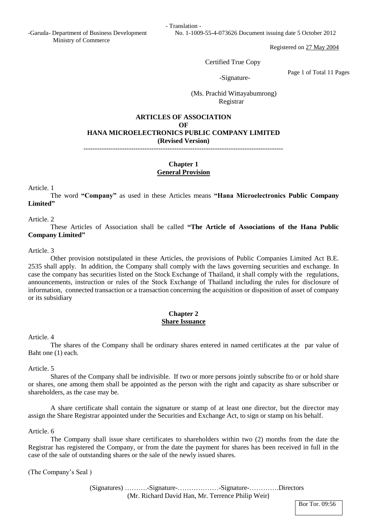- Translation -

Registered on 27 May 2004

Certified True Copy

-Signature-

Page 1 of Total 11 Pages

 (Ms. Prachid Wittayabumrong) Registrar

## **ARTICLES OF ASSOCIATION OF HANA MICROELECTRONICS PUBLIC COMPANY LIMITED (Revised Version)** ----------------------------------------------------------------------------------------

## **Chapter 1 General Provision**

Article. 1

The word **"Company"** as used in these Articles means **"Hana Microelectronics Public Company Limited"**

Article. 2

These Articles of Association shall be called **"The Article of Associations of the Hana Public Company Limited"**

Article. 3

Other provision notstipulated in these Articles, the provisions of Public Companies Limited Act B.E. 2535 shall apply. In addition, the Company shall comply with the laws governing securities and exchange. In case the company has securities listed on the Stock Exchange of Thailand, it shall comply with the regulations, announcements, instruction or rules of the Stock Exchange of Thailand including the rules for disclosure of information, connected transaction or a transaction concerning the acquisition or disposition of asset of company or its subsidiary

# **Chapter 2 Share Issuance**

Article. 4

The shares of the Company shall be ordinary shares entered in named certificates at the par value of Baht one (1) each.

Article. 5

Shares of the Company shall be indivisible. If two or more persons jointly subscribe fto or or hold share or shares, one among them shall be appointed as the person with the right and capacity as share subscriber or shareholders, as the case may be.

A share certificate shall contain the signature or stamp of at least one director, but the director may assign the Share Registrar appointed under the Securities and Exchange Act, to sign or stamp on his behalf.

Article. 6

The Company shall issue share certificates to shareholders within two (2) months from the date the Registrar has registered the Company, or from the date the payment for shares has been received in full in the case of the sale of outstanding shares or the sale of the newly issued shares.

(The Company's Seal )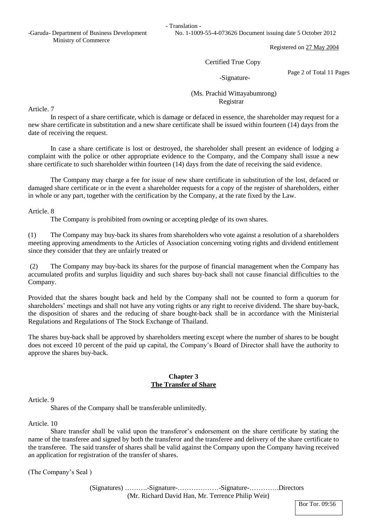- Translation -

-Garuda- Department of Business Development No. 1-1009-55-4-073626 Document issuing date 5 October 2012

Registered on 27 May 2004

#### Certified True Copy

-Signature-

Page 2 of Total 11 Pages

 (Ms. Prachid Wittayabumrong) Registrar

Article. 7

In respect of a share certificate, which is damage or defaced in essence, the shareholder may request for a new share certificate in substitution and a new share certificate shall be issued within fourteen (14) days from the date of receiving the request.

In case a share certificate is lost or destroyed, the shareholder shall present an evidence of lodging a complaint with the police or other appropriate evidence to the Company, and the Company shall issue a new share certificate to such shareholder within fourteen (14) days from the date of receiving the said evidence.

The Company may charge a fee for issue of new share certificate in substitution of the lost, defaced or damaged share certificate or in the event a shareholder requests for a copy of the register of shareholders, either in whole or any part, together with the certification by the Company, at the rate fixed by the Law.

#### Article. 8

The Company is prohibited from owning or accepting pledge of its own shares.

(1) The Company may buy-back its shares from shareholders who vote against a resolution of a shareholders meeting approving amendments to the Articles of Association concerning voting rights and dividend entitlement since they consider that they are unfairly treated or

(2) The Company may buy-back its shares for the purpose of financial management when the Company has accumulated profits and surplus liquidity and such shares buy-back shall not cause financial difficulties to the Company.

Provided that the shares bought back and held by the Company shall not be counted to form a quorum for shareholders' meetings and shall not have any voting rights or any right to receive dividend. The share buy-back, the disposition of shares and the reducing of share bought-back shall be in accordance with the Ministerial Regulations and Regulations of The Stock Exchange of Thailand.

The shares buy-back shall be approved by shareholders meeting except where the number of shares to be bought does not exceed 10 percent of the paid up capital, the Company's Board of Director shall have the authority to approve the shares buy-back.

## **Chapter 3 The Transfer of Share**

#### Article. 9

Shares of the Company shall be transferable unlimitedly.

Article. 10

Share transfer shall be valid upon the transferor's endorsement on the share certificate by stating the name of the transferee and signed by both the transferor and the transferee and delivery of the share certificate to the transferee. The said transfer of shares shall be valid against the Company upon the Company having received an application for registration of the transfer of shares.

(The Company's Seal )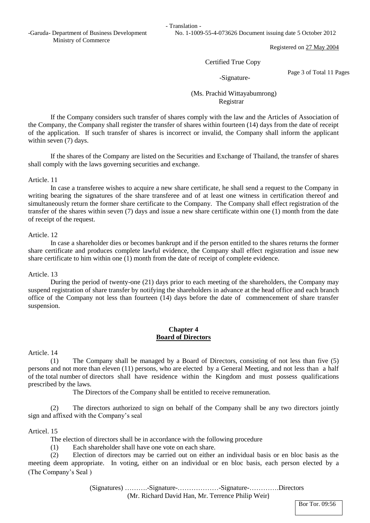- Translation -

-Garuda- Department of Business Development No. 1-1009-55-4-073626 Document issuing date 5 October 2012

Registered on 27 May 2004

Certified True Copy

-Signature-

Page 3 of Total 11 Pages

 (Ms. Prachid Wittayabumrong) Registrar

If the Company considers such transfer of shares comply with the law and the Articles of Association of the Company, the Company shall register the transfer of shares within fourteen (14) days from the date of receipt of the application. If such transfer of shares is incorrect or invalid, the Company shall inform the applicant within seven (7) days.

If the shares of the Company are listed on the Securities and Exchange of Thailand, the transfer of shares shall comply with the laws governing securities and exchange.

#### Article. 11

In case a transferee wishes to acquire a new share certificate, he shall send a request to the Company in writing bearing the signatures of the share transferee and of at least one witness in certification thereof and simultaneously return the former share certificate to the Company. The Company shall effect registration of the transfer of the shares within seven (7) days and issue a new share certificate within one (1) month from the date of receipt of the request.

#### Article. 12

In case a shareholder dies or becomes bankrupt and if the person entitled to the shares returns the former share certificate and produces complete lawful evidence, the Company shall effect registration and issue new share certificate to him within one (1) month from the date of receipt of complete evidence.

#### Article. 13

During the period of twenty-one (21) days prior to each meeting of the shareholders, the Company may suspend registration of share transfer by notifying the shareholders in advance at the head office and each branch office of the Company not less than fourteen (14) days before the date of commencement of share transfer suspension.

#### **Chapter 4 Board of Directors**

Article. 14

(1) The Company shall be managed by a Board of Directors, consisting of not less than five (5) persons and not more than eleven (11) persons, who are elected by a General Meeting, and not less than a half of the total number of directors shall have residence within the Kingdom and must possess qualifications prescribed by the laws.

The Directors of the Company shall be entitled to receive remuneration.

(2) The directors authorized to sign on behalf of the Company shall be any two directors jointly sign and affixed with the Company's seal

#### Articel. 15

The election of directors shall be in accordance with the following procedure

(1) Each shareholder shall have one vote on each share.

(The Company's Seal ) (2) Election of directors may be carried out on either an individual basis or en bloc basis as the meeting deem appropriate. In voting, either on an individual or en bloc basis, each person elected by a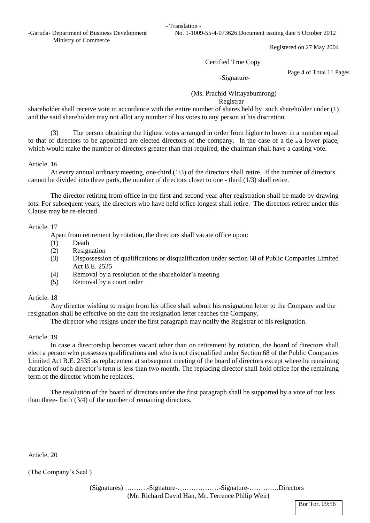-Garuda- Department of Business Development No. 1-1009-55-4-073626 Document issuing date 5 October 2012 Ministry of Commerce

Registered on 27 May 2004

## Certified True Copy

-Signature-

Page 4 of Total 11 Pages

 (Ms. Prachid Wittayabumrong) Registrar

shareholder shall receive vote in accordance with the entire number of shares held by such shareholder under (1) and the said shareholder may not allot any number of his votes to any person at his discretion.

(3) The person obtaining the highest votes arranged in order from higher to lower in a number equal to that of directors to be appointed are elected directors of the company. In the case of a tie  $\alpha$  a lower place, which would make the number of directors greater than that required, the chairman shall have a casting vote.

Article. 16

At every annual ordinary meeting, one-third  $(1/3)$  of the directors shall retire. If the number of directors cannot be divided into three parts, the number of directors closet to one - third (1/3) shall retire.

The director retiring from office in the first and second year after registration shall be made by drawing lots. For subsequent years, the directors who have held office longest shall retire. The directors retired under this Clause may be re-elected.

## Article. 17

Apart from retirement by rotation, the directors shall vacate office upon:

- (1) Death
- (2) Resignation
- (3) Dispossession of qualifications or disqualification under section 68 of Public Companies Limited Act B.E. 2535
- (4) Removal by a resolution of the shareholder's meeting
- (5) Removal by a court order

# Article. 18

Any director wishing to resign from his office shall submit his resignation letter to the Company and the resignation shall be effective on the date the resignation letter reaches the Company.

The director who resigns under the first paragraph may notify the Registrar of his resignation.

# Article. 19

In case a directorship becomes vacant other than on retirement by rotation, the board of directors shall elect a person who possesses qualifications and who is not disqualified under Section 68 of the Public Companies Limited Act B.E. 2535 as replacement at subsequent meeting of the board of directors except wherethe remaining duration of such director's term is less than two month. The replacing director shall hold office for the remaining term of the director whom he replaces.

The resolution of the board of directors under the first paragraph shall be supported by a vote of not less than three- forth (3/4) of the number of remaining directors.

Article. 20

(The Company's Seal )

Bor Tor. 09:56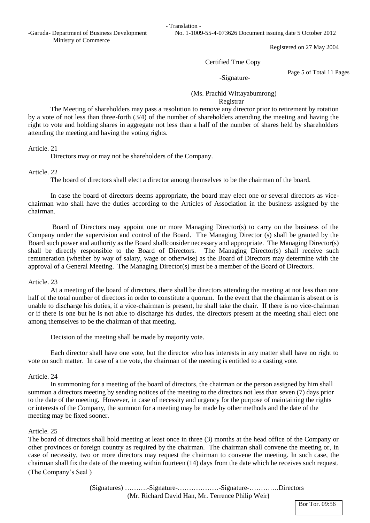- Translation -

-Garuda- Department of Business Development No. 1-1009-55-4-073626 Document issuing date 5 October 2012

Registered on 27 May 2004

#### Certified True Copy

## -Signature-

Page 5 of Total 11 Pages

## (Ms. Prachid Wittayabumrong) Registrar

The Meeting of shareholders may pass a resolution to remove any director prior to retirement by rotation by a vote of not less than three-forth (3/4) of the number of shareholders attending the meeting and having the right to vote and holding shares in aggregate not less than a half of the number of shares held by shareholders attending the meeting and having the voting rights.

Article. 21

Directors may or may not be shareholders of the Company.

#### Article. 22

The board of directors shall elect a director among themselves to be the chairman of the board.

In case the board of directors deems appropriate, the board may elect one or several directors as vicechairman who shall have the duties according to the Articles of Association in the business assigned by the chairman.

Board of Directors may appoint one or more Managing Director(s) to carry on the business of the Company under the supervision and control of the Board. The Managing Director (s) shall be granted by the Board such power and authority as the Board shallconsider necessary and appropriate. The Managing Director(s) shall be directly responsible to the Board of Directors. The Managing Director(s) shall receive such remuneration (whether by way of salary, wage or otherwise) as the Board of Directors may determine with the approval of a General Meeting. The Managing Director(s) must be a member of the Board of Directors.

#### Article. 23

At a meeting of the board of directors, there shall be directors attending the meeting at not less than one half of the total number of directors in order to constitute a quorum. In the event that the chairman is absent or is unable to discharge his duties, if a vice-chairman is present, he shall take the chair. If there is no vice-chairman or if there is one but he is not able to discharge his duties, the directors present at the meeting shall elect one among themselves to be the chairman of that meeting.

Decision of the meeting shall be made by majority vote.

Each director shall have one vote, but the director who has interests in any matter shall have no right to vote on such matter. In case of a tie vote, the chairman of the meeting is entitled to a casting vote.

## Article. 24

In summoning for a meeting of the board of directors, the chairman or the person assigned by him shall summon a directors meeting by sending notices of the meeting to the directors not less than seven (7) days prior to the date of the meeting. However, in case of necessity and urgency for the purpose of maintaining the rights or interests of the Company, the summon for a meeting may be made by other methods and the date of the meeting may be fixed sooner.

#### Article. 25

(The Company's Seal ) The board of directors shall hold meeting at least once in three (3) months at the head office of the Company or other provinces or foreign country as required by the chairman. The chairman shall convene the meeting or, in case of necessity, two or more directors may request the chairman to convene the meeting. In such case, the chairman shall fix the date of the meeting within fourteen (14) days from the date which he receives such request.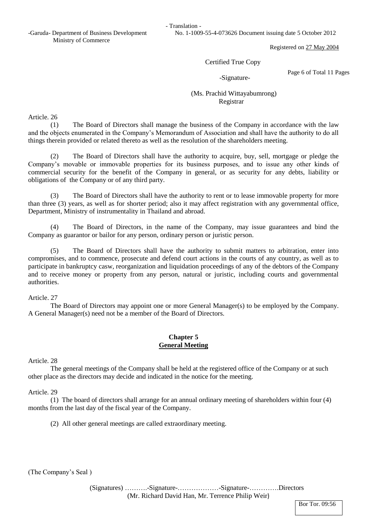- Translation -

-Garuda- Department of Business Development No. 1-1009-55-4-073626 Document issuing date 5 October 2012

Registered on 27 May 2004

#### Certified True Copy

-Signature-

Page 6 of Total 11 Pages

# (Ms. Prachid Wittayabumrong) Registrar

Article. 26

(1) The Board of Directors shall manage the business of the Company in accordance with the law and the objects enumerated in the Company's Memorandum of Association and shall have the authority to do all things therein provided or related thereto as well as the resolution of the shareholders meeting.

(2) The Board of Directors shall have the authority to acquire, buy, sell, mortgage or pledge the Company's movable or immovable properties for its business purposes, and to issue any other kinds of commercial security for the benefit of the Company in general, or as security for any debts, liability or obligations of the Company or of any third party.

(3) The Board of Directors shall have the authority to rent or to lease immovable property for more than three (3) years, as well as for shorter period; also it may affect registration with any governmental office, Department, Ministry of instrumentality in Thailand and abroad.

(4) The Board of Directors, in the name of the Company, may issue guarantees and bind the Company as guarantor or bailor for any person, ordinary person or juristic person.

(5) The Board of Directors shall have the authority to submit matters to arbitration, enter into compromises, and to commence, prosecute and defend court actions in the courts of any country, as well as to participate in bankruptcy casw, reorganization and liquidation proceedings of any of the debtors of the Company and to receive money or property from any person, natural or juristic, including courts and governmental authorities.

Article. 27

The Board of Directors may appoint one or more General Manager(s) to be employed by the Company. A General Manager(s) need not be a member of the Board of Directors.

## **Chapter 5 General Meeting**

Article. 28

The general meetings of the Company shall be held at the registered office of the Company or at such other place as the directors may decide and indicated in the notice for the meeting.

Article. 29

(1) The board of directors shall arrange for an annual ordinary meeting of shareholders within four (4) months from the last day of the fiscal year of the Company.

(2) All other general meetings are called extraordinary meeting.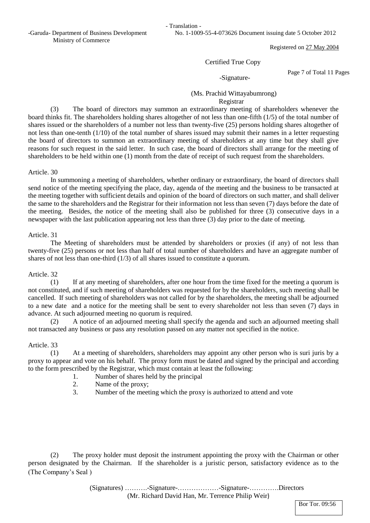- Translation -

-Garuda- Department of Business Development No. 1-1009-55-4-073626 Document issuing date 5 October 2012

Registered on 27 May 2004

#### Certified True Copy

-Signature-

Page 7 of Total 11 Pages

## (Ms. Prachid Wittayabumrong) Registrar

(3) The board of directors may summon an extraordinary meeting of shareholders whenever the board thinks fit. The shareholders holding shares altogether of not less than one-fifth (1/5) of the total number of shares issued or the shareholders of a number not less than twenty-five (25) persons holding shares altogether of not less than one-tenth (1/10) of the total number of shares issued may submit their names in a letter requesting the board of directors to summon an extraordinary meeting of shareholders at any time but they shall give reasons for such request in the said letter. In such case, the board of directors shall arrange for the meeting of shareholders to be held within one (1) month from the date of receipt of such request from the shareholders.

#### Article. 30

In summoning a meeting of shareholders, whether ordinary or extraordinary, the board of directors shall send notice of the meeting specifying the place, day, agenda of the meeting and the business to be transacted at the meeting together with sufficient details and opinion of the board of directors on such matter, and shall deliver the same to the shareholders and the Registrar for their information not less than seven (7) days before the date of the meeting. Besides, the notice of the meeting shall also be published for three (3) consecutive days in a newspaper with the last publication appearing not less than three (3) day prior to the date of meeting.

#### Article. 31

The Meeting of shareholders must be attended by shareholders or proxies (if any) of not less than twenty-five (25) persons or not less than half of total number of shareholders and have an aggregate number of shares of not less than one-third (1/3) of all shares issued to constitute a quorum.

## Article. 32

(1) If at any meeting of shareholders, after one hour from the time fixed for the meeting a quorum is not constituted, and if such meeting of shareholders was requested for by the shareholders, such meeting shall be cancelled. If such meeting of shareholders was not called for by the shareholders, the meeting shall be adjourned to a new date and a notice for the meeting shall be sent to every shareholder not less than seven (7) days in advance. At such adjourned meeting no quorum is required.

(2) A notice of an adjourned meeting shall specify the agenda and such an adjourned meeting shall not transacted any business or pass any resolution passed on any matter not specified in the notice.

## Article. 33

(1) At a meeting of shareholders, shareholders may appoint any other person who is suri juris by a proxy to appear and vote on his behalf. The proxy form must be dated and signed by the principal and according to the form prescribed by the Registrar, which must contain at least the following:

- 1. Number of shares held by the principal
- 2. Name of the proxy;
- 3. Number of the meeting which the proxy is authorized to attend and vote

(The Company's Seal ) (2) The proxy holder must deposit the instrument appointing the proxy with the Chairman or other person designated by the Chairman. If the shareholder is a juristic person, satisfactory evidence as to the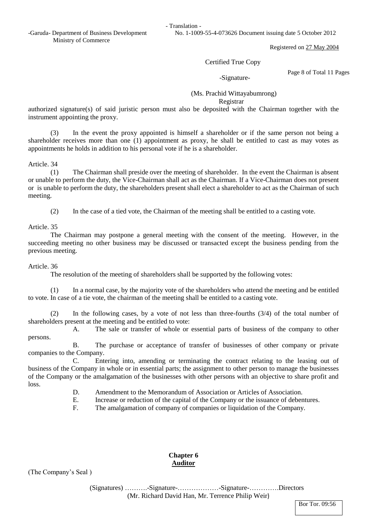-Garuda- Department of Business Development No. 1-1009-55-4-073626 Document issuing date 5 October 2012 Ministry of Commerce

Registered on 27 May 2004

## Certified True Copy

-Signature-

Page 8 of Total 11 Pages

 (Ms. Prachid Wittayabumrong) Registrar

authorized signature(s) of said juristic person must also be deposited with the Chairman together with the instrument appointing the proxy.

(3) In the event the proxy appointed is himself a shareholder or if the same person not being a shareholder receives more than one (1) appointment as proxy, he shall be entitled to cast as may votes as appointments he holds in addition to his personal vote if he is a shareholder.

Article. 34

(1) The Chairman shall preside over the meeting of shareholder. In the event the Chairman is absent or unable to perform the duty, the Vice-Chairman shall act as the Chairman. If a Vice-Chairman does not present or is unable to perform the duty, the shareholders present shall elect a shareholder to act as the Chairman of such meeting.

(2) In the case of a tied vote, the Chairman of the meeting shall be entitled to a casting vote.

Article. 35

The Chairman may postpone a general meeting with the consent of the meeting. However, in the succeeding meeting no other business may be discussed or transacted except the business pending from the previous meeting.

## Article. 36

The resolution of the meeting of shareholders shall be supported by the following votes:

(1) In a normal case, by the majority vote of the shareholders who attend the meeting and be entitled to vote. In case of a tie vote, the chairman of the meeting shall be entitled to a casting vote.

(2) In the following cases, by a vote of not less than three-fourths (3/4) of the total number of shareholders present at the meeting and be entitled to vote:

 A. The sale or transfer of whole or essential parts of business of the company to other persons.

 B. The purchase or acceptance of transfer of businesses of other company or private companies to the Company.

 C. Entering into, amending or terminating the contract relating to the leasing out of business of the Company in whole or in essential parts; the assignment to other person to manage the businesses of the Company or the amalgamation of the businesses with other persons with an objective to share profit and loss.

- D. Amendment to the Memorandum of Association or Articles of Association.
- E. Increase or reduction of the capital of the Company or the issuance of debentures.
- F. The amalgamation of company of companies or liquidation of the Company.

# **Chapter 6 Auditor**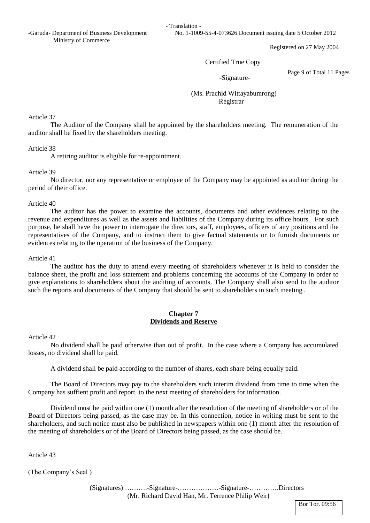-Garuda- Department of Business Development No. 1-1009-55-4-073626 Document issuing date 5 October 2012 Ministry of Commerce

Registered on 27 May 2004

Certified True Copy

-Signature-

Page 9 of Total 11 Pages

 (Ms. Prachid Wittayabumrong) Registrar

Article 37

The Auditor of the Company shall be appointed by the shareholders meeting. The remuneration of the auditor shall be fixed by the shareholders meeting.

Article 38

A retiring auditor is eligible for re-appointment.

## Article 39

No director, nor any representative or employee of the Company may be appointed as auditor during the period of their office.

## Article 40

The auditor has the power to examine the accounts, documents and other evidences relating to the revenue and expenditures as well as the assets and liabilities of the Company during its office hours. For such purpose, he shall have the power to interrogate the directors, staff, employees, officers of any positions and the representatives of the Company, and to instruct them to give factual statements or to furnish documents or evidences relating to the operation of the business of the Company.

## Article 41

The auditor has the duty to attend every meeting of shareholders whenever it is held to consider the balance sheet, the profit and loss statement and problems concerning the accounts of the Company in order to give explanations to shareholders about the auditing of accounts. The Company shall also send to the auditor such the reports and documents of the Company that should be sent to shareholders in such meeting .

# **Chapter 7 Dividends and Reserve**

## Article 42

No dividend shall be paid otherwise than out of profit. In the case where a Company has accumulated losses, no dividend shall be paid.

A dividend shall be paid according to the number of shares, each share being equally paid.

The Board of Directors may pay to the shareholders such interim dividend from time to time when the Company has suffient profit and report to the next meeting of shareholders for information.

Dividend must be paid within one (1) month after the resolution of the meeting of shareholders or of the Board of Directors being passed, as the case may be. In this connection, notice in writing must be sent to the shareholders, and such notice must also be published in newspapers within one (1) month after the resolution of the meeting of shareholders or of the Board of Directors being passed, as the case should be.

Article 43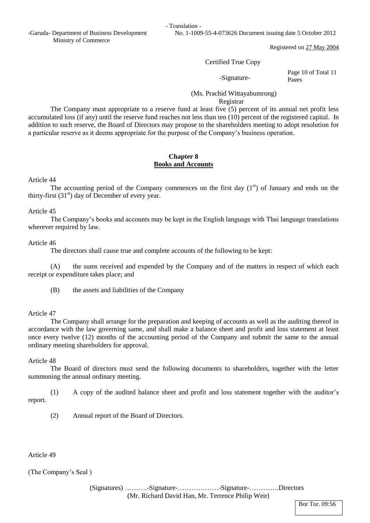-Garuda- Department of Business Development No. 1-1009-55-4-073626 Document issuing date 5 October 2012 Ministry of Commerce

Registered on 27 May 2004

## Certified True Copy

-Signature-

Page 10 of Total 11 Pages

## (Ms. Prachid Wittayabumrong) Registrar

The Company must appropriate to a reserve fund at least five (5) percent of its annual net profit less accumulated loss (if any) until the reserve fund reaches not less than ten (10) percent of the registered capital. In addition to such reserve, the Board of Directors may propose to the shareholders meeting to adopt resolution for a particular reserve as it deems appropriate for the purpose of the Company's business operation.

## **Chapter 8 Books and Accounts**

## Article 44

The accounting period of the Company commences on the first day  $(1<sup>st</sup>)$  of January and ends on the thirty-first  $(31<sup>st</sup>)$  day of December of every year.

## Article 45

The Company's books and accounts may be kept in the English language with Thai language translations wherever required by law.

## Article 46

The directors shall cause true and complete accounts of the following to be kept:

(A) the sums received and expended by the Company and of the matters in respect of which each receipt or expenditure takes place; and

(B) the assets and liabilities of the Company

# Article 47

The Company shall arrange for the preparation and keeping of accounts as well as the auditing thereof in accordance with the law governing same, and shall make a balance sheet and profit and loss statement at least once every twelve (12) months of the accounting period of the Company and submit the same to the annual ordinary meeting shareholders for approval.

# Article 48

The Board of directors must send the following documents to shareholders, together with the letter summoning the annual ordinary meeting.

(1) A copy of the audited balance sheet and profit and loss statement together with the auditor's report.

(2) Annual report of the Board of Directors.

## Article 49